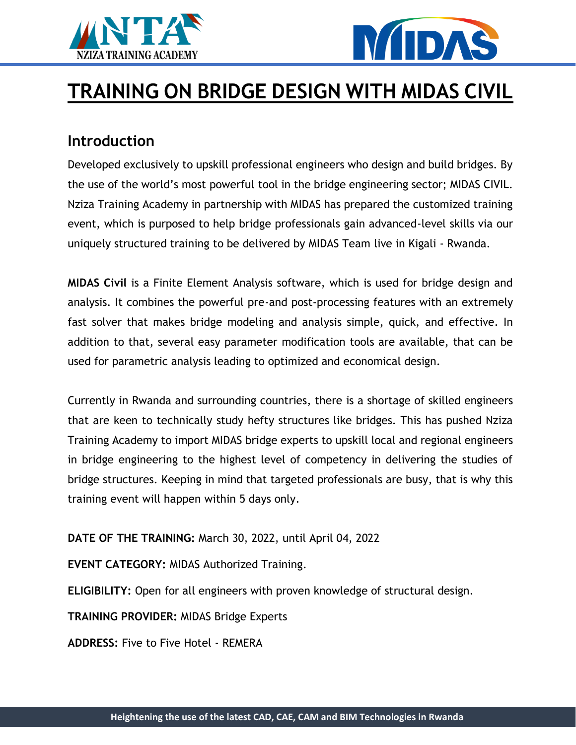



# **TRAINING ON BRIDGE DESIGN WITH MIDAS CIVIL**

#### **Introduction**

Developed exclusively to upskill professional engineers who design and build bridges. By the use of the world's most powerful tool in the bridge engineering sector; MIDAS CIVIL. Nziza Training Academy in partnership with MIDAS has prepared the customized training event, which is purposed to help bridge professionals gain advanced-level skills via our uniquely structured training to be delivered by MIDAS Team live in Kigali - Rwanda.

**MIDAS Civil** is a Finite Element Analysis software, which is used for bridge design and analysis. It combines the powerful pre-and post-processing features with an extremely fast solver that makes bridge modeling and analysis simple, quick, and effective. In addition to that, several easy parameter modification tools are available, that can be used for parametric analysis leading to optimized and economical design.

Currently in Rwanda and surrounding countries, there is a shortage of skilled engineers that are keen to technically study hefty structures like bridges. This has pushed Nziza Training Academy to import MIDAS bridge experts to upskill local and regional engineers in bridge engineering to the highest level of competency in delivering the studies of bridge structures. Keeping in mind that targeted professionals are busy, that is why this training event will happen within 5 days only.

**DATE OF THE TRAINING:** March 30, 2022, until April 04, 2022

**EVENT CATEGORY:** MIDAS Authorized Training.

**ELIGIBILITY:** Open for all engineers with proven knowledge of structural design.

**TRAINING PROVIDER:** MIDAS Bridge Experts

**ADDRESS:** Five to Five Hotel - REMERA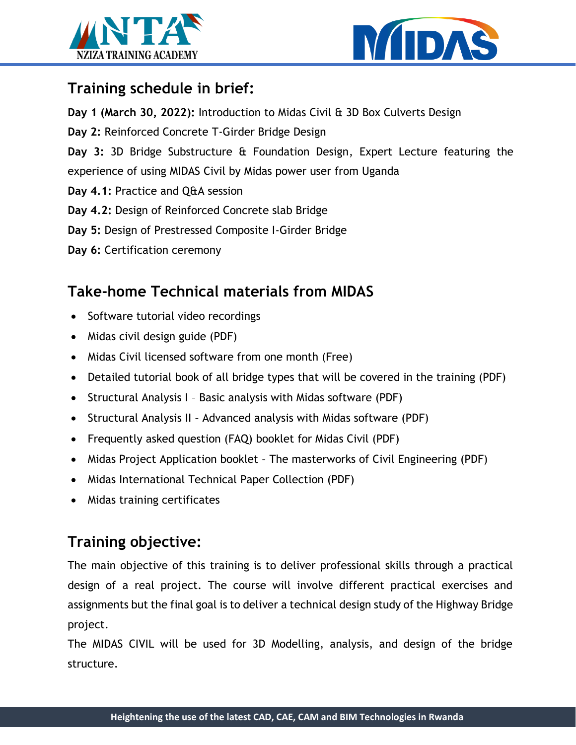



### **Training schedule in brief:**

**Day 1 (March 30, 2022):** Introduction to Midas Civil & 3D Box Culverts Design

**Day 2:** Reinforced Concrete T-Girder Bridge Design

**Day 3:** 3D Bridge Substructure & Foundation Design, Expert Lecture featuring the experience of using MIDAS Civil by Midas power user from Uganda

- **Day 4.1:** Practice and Q&A session
- **Day 4.2:** Design of Reinforced Concrete slab Bridge
- **Day 5:** Design of Prestressed Composite I-Girder Bridge
- **Day 6:** Certification ceremony

# **Take-home Technical materials from MIDAS**

- Software tutorial video recordings
- Midas civil design guide (PDF)
- Midas Civil licensed software from one month (Free)
- Detailed tutorial book of all bridge types that will be covered in the training (PDF)
- Structural Analysis I Basic analysis with Midas software (PDF)
- Structural Analysis II Advanced analysis with Midas software (PDF)
- Frequently asked question (FAQ) booklet for Midas Civil (PDF)
- Midas Project Application booklet The masterworks of Civil Engineering (PDF)
- Midas International Technical Paper Collection (PDF)
- Midas training certificates

# **Training objective:**

The main objective of this training is to deliver professional skills through a practical design of a real project. The course will involve different practical exercises and assignments but the final goal is to deliver a technical design study of the Highway Bridge project.

The MIDAS CIVIL will be used for 3D Modelling, analysis, and design of the bridge structure.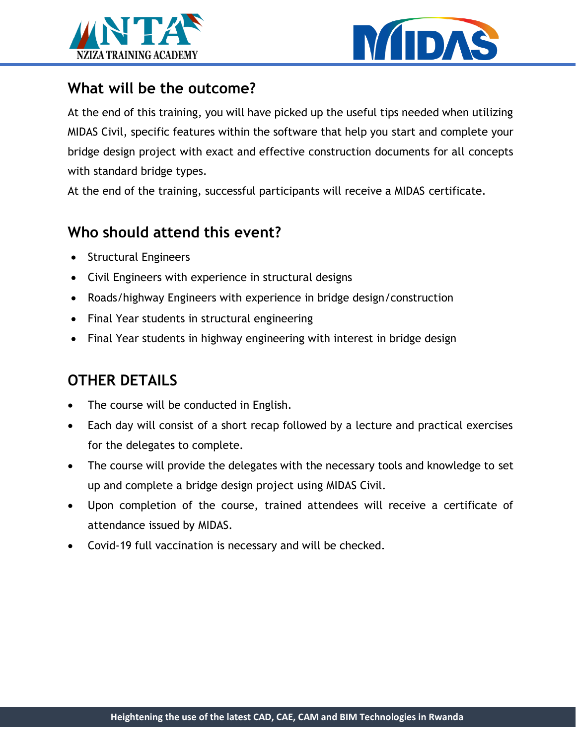



#### **What will be the outcome?**

At the end of this training, you will have picked up the useful tips needed when utilizing MIDAS Civil, specific features within the software that help you start and complete your bridge design project with exact and effective construction documents for all concepts with standard bridge types.

At the end of the training, successful participants will receive a MIDAS certificate.

### **Who should attend this event?**

- Structural Engineers
- Civil Engineers with experience in structural designs
- Roads/highway Engineers with experience in bridge design/construction
- Final Year students in structural engineering
- Final Year students in highway engineering with interest in bridge design

# **OTHER DETAILS**

- The course will be conducted in English.
- Each day will consist of a short recap followed by a lecture and practical exercises for the delegates to complete.
- The course will provide the delegates with the necessary tools and knowledge to set up and complete a bridge design project using MIDAS Civil.
- Upon completion of the course, trained attendees will receive a certificate of attendance issued by MIDAS.
- Covid-19 full vaccination is necessary and will be checked.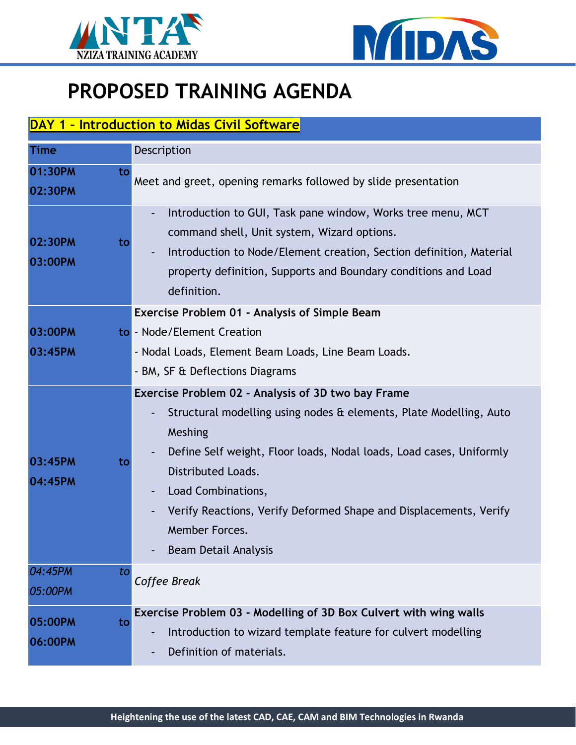



# **PROPOSED TRAINING AGENDA**

#### **DAY 1 – Introduction to Midas Civil Software**

| <b>Time</b>              | Description                                                                                                                                                                                                                                                                                                                                                                  |
|--------------------------|------------------------------------------------------------------------------------------------------------------------------------------------------------------------------------------------------------------------------------------------------------------------------------------------------------------------------------------------------------------------------|
| 01:30PM<br>to<br>02:30PM | Meet and greet, opening remarks followed by slide presentation                                                                                                                                                                                                                                                                                                               |
| 02:30PM<br>to<br>03:00PM | Introduction to GUI, Task pane window, Works tree menu, MCT<br>command shell, Unit system, Wizard options.<br>Introduction to Node/Element creation, Section definition, Material<br>property definition, Supports and Boundary conditions and Load<br>definition.                                                                                                           |
| 03:00PM<br>03:45PM       | <b>Exercise Problem 01 - Analysis of Simple Beam</b><br>to - Node/Element Creation<br>- Nodal Loads, Element Beam Loads, Line Beam Loads.<br>- BM, SF & Deflections Diagrams                                                                                                                                                                                                 |
| 03:45PM<br>to<br>04:45PM | Exercise Problem 02 - Analysis of 3D two bay Frame<br>Structural modelling using nodes & elements, Plate Modelling, Auto<br>Meshing<br>Define Self weight, Floor loads, Nodal loads, Load cases, Uniformly<br>Distributed Loads.<br>Load Combinations,<br>Verify Reactions, Verify Deformed Shape and Displacements, Verify<br>Member Forces.<br><b>Beam Detail Analysis</b> |
| 04:45PM<br>to<br>05:00PM | Coffee Break                                                                                                                                                                                                                                                                                                                                                                 |
| 05:00PM<br>to<br>06:00PM | Exercise Problem 03 - Modelling of 3D Box Culvert with wing walls<br>Introduction to wizard template feature for culvert modelling<br>Definition of materials.                                                                                                                                                                                                               |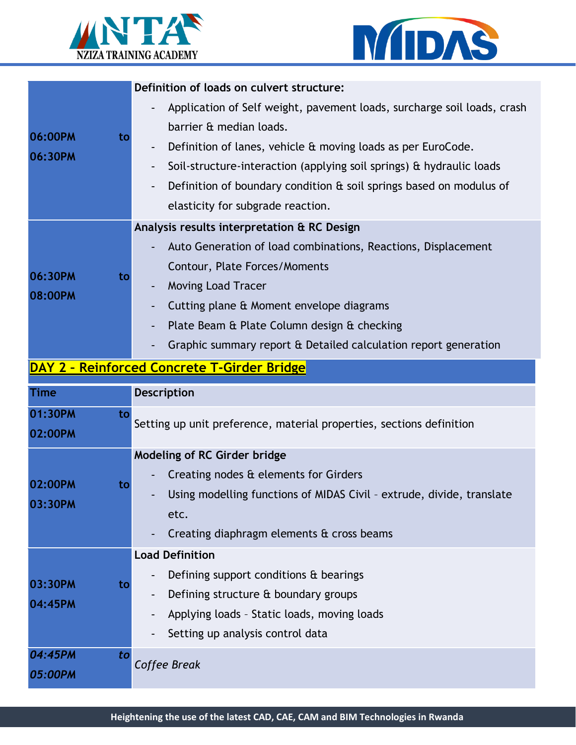



|                                                    | Definition of loads on culvert structure:                                   |  |  |
|----------------------------------------------------|-----------------------------------------------------------------------------|--|--|
| 06:00PM<br>to<br>06:30PM                           | Application of Self weight, pavement loads, surcharge soil loads, crash     |  |  |
|                                                    | barrier & median loads.                                                     |  |  |
|                                                    | Definition of lanes, vehicle & moving loads as per EuroCode.                |  |  |
|                                                    | Soil-structure-interaction (applying soil springs) $\alpha$ hydraulic loads |  |  |
|                                                    | Definition of boundary condition $\theta$ soil springs based on modulus of  |  |  |
|                                                    | elasticity for subgrade reaction.                                           |  |  |
|                                                    | Analysis results interpretation & RC Design                                 |  |  |
|                                                    | Auto Generation of load combinations, Reactions, Displacement               |  |  |
| to                                                 | Contour, Plate Forces/Moments                                               |  |  |
| 06:30PM<br>08:00PM                                 | Moving Load Tracer                                                          |  |  |
|                                                    | Cutting plane & Moment envelope diagrams                                    |  |  |
|                                                    | Plate Beam & Plate Column design & checking                                 |  |  |
|                                                    | Graphic summary report & Detailed calculation report generation             |  |  |
| <b>DAY 2 - Reinforced Concrete T-Girder Bridge</b> |                                                                             |  |  |
| <b>Time</b>                                        | <b>Description</b>                                                          |  |  |

| пше                      | <b>DESCI IPLIUII</b>                                                                                                                                                                                              |  |
|--------------------------|-------------------------------------------------------------------------------------------------------------------------------------------------------------------------------------------------------------------|--|
| 01:30PM<br>to            | Setting up unit preference, material properties, sections definition                                                                                                                                              |  |
| 02:00PM                  |                                                                                                                                                                                                                   |  |
| 02:00PM<br>to<br>03:30PM | <b>Modeling of RC Girder bridge</b><br>Creating nodes & elements for Girders<br>Using modelling functions of MIDAS Civil - extrude, divide, translate<br>etc.<br>Creating diaphragm elements $\alpha$ cross beams |  |
| 03:30PM<br>to<br>04:45PM | <b>Load Definition</b><br>Defining support conditions & bearings<br>Defining structure & boundary groups<br>Applying loads - Static loads, moving loads<br>Setting up analysis control data                       |  |
| 04:45PM<br>to<br>05:00PM | Coffee Break                                                                                                                                                                                                      |  |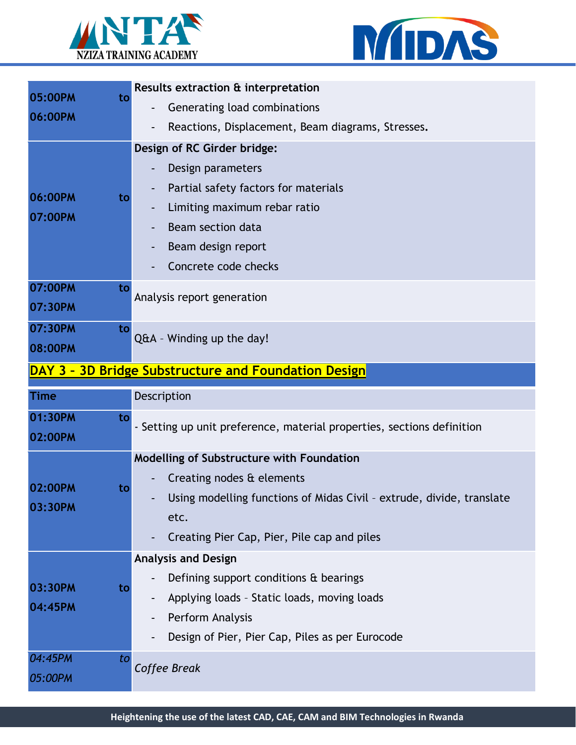



| 05:00PM<br>to<br>06:00PM                             |    | Results extraction & interpretation                                    |  |
|------------------------------------------------------|----|------------------------------------------------------------------------|--|
|                                                      |    | Generating load combinations                                           |  |
|                                                      |    | Reactions, Displacement, Beam diagrams, Stresses.<br>$\overline{a}$    |  |
|                                                      |    | Design of RC Girder bridge:                                            |  |
| 06:00PM                                              |    | Design parameters                                                      |  |
|                                                      |    | Partial safety factors for materials                                   |  |
|                                                      | to | Limiting maximum rebar ratio                                           |  |
| 07:00PM                                              |    | Beam section data                                                      |  |
|                                                      |    | Beam design report                                                     |  |
|                                                      |    | Concrete code checks                                                   |  |
| 07:00PM                                              | to |                                                                        |  |
| 07:30PM                                              |    | Analysis report generation                                             |  |
|                                                      |    |                                                                        |  |
| 07:30PM                                              | to | Q&A - Winding up the day!                                              |  |
| 08:00PM                                              |    |                                                                        |  |
| DAY 3 - 3D Bridge Substructure and Foundation Design |    |                                                                        |  |
|                                                      |    |                                                                        |  |
| <b>Time</b>                                          |    | Description                                                            |  |
| 01:30PM                                              | to |                                                                        |  |
| 02:00PM                                              |    | - Setting up unit preference, material properties, sections definition |  |
|                                                      |    | Modelling of Substructure with Foundation                              |  |
|                                                      |    | Creating nodes & elements                                              |  |
| 02:00PM                                              | to | Using modelling functions of Midas Civil - extrude, divide, translate  |  |
| 03:30PM                                              |    | etc.                                                                   |  |
|                                                      |    | Creating Pier Cap, Pier, Pile cap and piles                            |  |
|                                                      |    | <b>Analysis and Design</b>                                             |  |
|                                                      |    | Defining support conditions & bearings                                 |  |
| 03:30PM                                              | to |                                                                        |  |
| 04:45PM                                              |    | Applying loads - Static loads, moving loads<br>Perform Analysis        |  |
|                                                      |    | Design of Pier, Pier Cap, Piles as per Eurocode                        |  |
|                                                      |    |                                                                        |  |
| 04:45PM<br>05:00PM                                   | to | Coffee Break                                                           |  |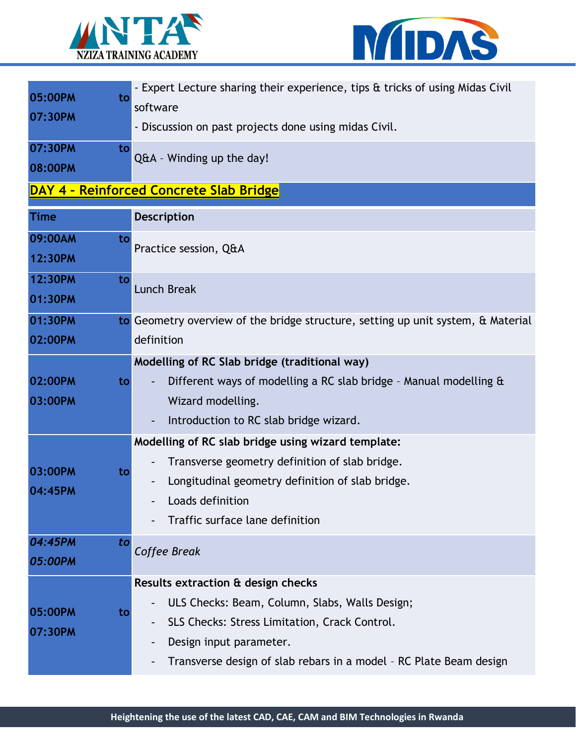



| 05:00PM<br>to<br>07:30PM                       | - Expert Lecture sharing their experience, tips & tricks of using Midas Civil<br>software<br>- Discussion on past projects done using midas Civil.                                                                                     |  |  |  |
|------------------------------------------------|----------------------------------------------------------------------------------------------------------------------------------------------------------------------------------------------------------------------------------------|--|--|--|
| 07:30PM<br>to<br>08:00PM                       | Q&A - Winding up the day!                                                                                                                                                                                                              |  |  |  |
| <b>DAY 4 - Reinforced Concrete Slab Bridge</b> |                                                                                                                                                                                                                                        |  |  |  |
| Time                                           | Description                                                                                                                                                                                                                            |  |  |  |
| 09:00AM<br>to<br>12:30PM                       | Practice session, Q&A                                                                                                                                                                                                                  |  |  |  |
| 12:30PM<br>to<br>01:30PM                       | <b>Lunch Break</b>                                                                                                                                                                                                                     |  |  |  |
| 01:30PM<br>02:00PM                             | to Geometry overview of the bridge structure, setting up unit system, & Material<br>definition                                                                                                                                         |  |  |  |
| 02:00PM<br>to<br>03:00PM                       | Modelling of RC Slab bridge (traditional way)<br>Different ways of modelling a RC slab bridge - Manual modelling $\alpha$<br>Wizard modelling.<br>Introduction to RC slab bridge wizard.<br>$\blacksquare$                             |  |  |  |
| 03:00PM<br>to<br>04:45PM                       | Modelling of RC slab bridge using wizard template:<br>Transverse geometry definition of slab bridge.<br>Longitudinal geometry definition of slab bridge.<br>Loads definition<br>Traffic surface lane definition                        |  |  |  |
| 04:45PM<br>to<br>05:00PM                       | Coffee Break                                                                                                                                                                                                                           |  |  |  |
| 05:00PM<br>to<br>07:30PM                       | Results extraction & design checks<br>ULS Checks: Beam, Column, Slabs, Walls Design;<br>SLS Checks: Stress Limitation, Crack Control.<br>Design input parameter.<br>Transverse design of slab rebars in a model - RC Plate Beam design |  |  |  |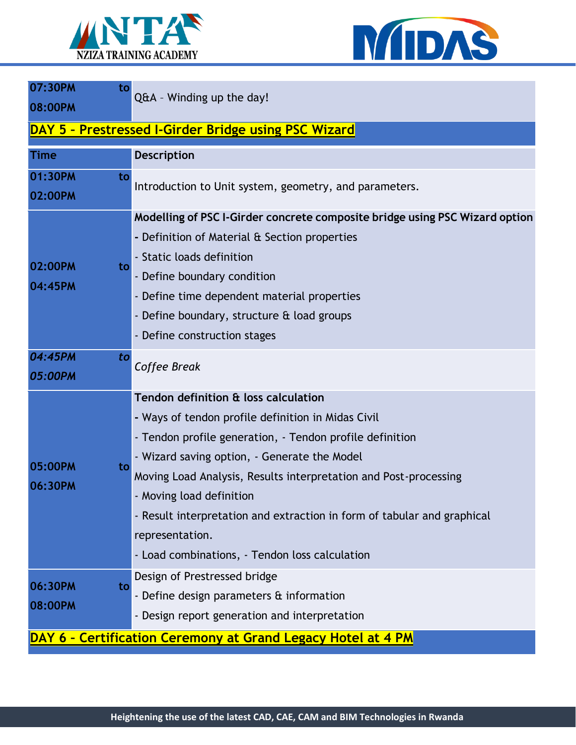



| 07:30PM                  | to<br>Q&A - Winding up the day!                                                                                                                                                                                                                                                                                                                                                                                                                        |
|--------------------------|--------------------------------------------------------------------------------------------------------------------------------------------------------------------------------------------------------------------------------------------------------------------------------------------------------------------------------------------------------------------------------------------------------------------------------------------------------|
| 08:00PM                  |                                                                                                                                                                                                                                                                                                                                                                                                                                                        |
|                          | DAY 5 - Prestressed I-Girder Bridge using PSC Wizard                                                                                                                                                                                                                                                                                                                                                                                                   |
| <b>Time</b>              | Description                                                                                                                                                                                                                                                                                                                                                                                                                                            |
| 01:30PM<br>to<br>02:00PM | Introduction to Unit system, geometry, and parameters.                                                                                                                                                                                                                                                                                                                                                                                                 |
| 02:00PM<br>to<br>04:45PM | Modelling of PSC I-Girder concrete composite bridge using PSC Wizard option<br>- Definition of Material & Section properties<br>- Static loads definition<br>- Define boundary condition<br>- Define time dependent material properties<br>- Define boundary, structure & load groups<br>- Define construction stages                                                                                                                                  |
| 04:45PM<br>to<br>05:00PM | Coffee Break                                                                                                                                                                                                                                                                                                                                                                                                                                           |
| 05:00PM<br>to<br>06:30PM | Tendon definition & loss calculation<br>- Ways of tendon profile definition in Midas Civil<br>- Tendon profile generation, - Tendon profile definition<br>- Wizard saving option, - Generate the Model<br>Moving Load Analysis, Results interpretation and Post-processing<br>- Moving load definition<br>- Result interpretation and extraction in form of tabular and graphical<br>representation.<br>- Load combinations, - Tendon loss calculation |
| 06:30PM<br>08:00PM       | Design of Prestressed bridge<br>to<br>- Define design parameters & information<br>- Design report generation and interpretation<br>DAY 6 - Certification Ceremony at Grand Legacy Hotel at 4 PM                                                                                                                                                                                                                                                        |
|                          |                                                                                                                                                                                                                                                                                                                                                                                                                                                        |